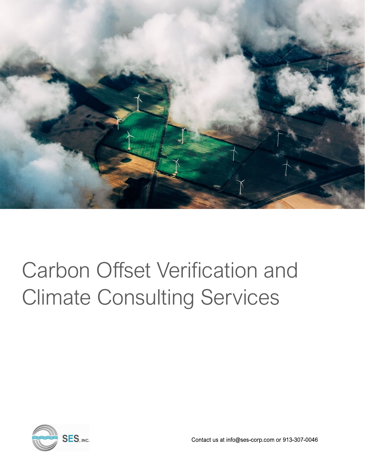

# Carbon Offset Verification and Climate Consulting Services



Contact us at info@ses-corp.com or 913-307-0046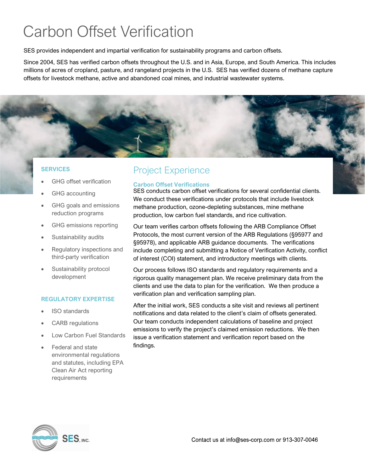## Carbon Offset Verification

SES provides independent and impartial verification for sustainability programs and carbon offsets.

Since 2004, SES has verified carbon offsets throughout the U.S. and in Asia, Europe, and South America. This includes millions of acres of cropland, pasture, and rangeland projects in the U.S. SES has verified dozens of methane capture offsets for livestock methane, active and abandoned coal mines, and industrial wastewater systems.

#### **SERVICES**

- GHG offset verification
- GHG accounting
- GHG goals and emissions reduction programs
- GHG emissions reporting
- Sustainability audits
- Regulatory inspections and third-party verification
- Sustainability protocol development

#### **REGULATORY EXPERTISE**

- **ISO** standards
- CARB regulations
- Low Carbon Fuel Standards
- Federal and state environmental regulations and statutes, including EPA Clean Air Act reporting requirements

### Project Experience

#### **Carbon Offset Verifications**

SES conducts carbon offset verifications for several confidential clients. We conduct these verifications under protocols that include livestock methane production, ozone-depleting substances, mine methane production, low carbon fuel standards, and rice cultivation.

Our team verifies carbon offsets following the ARB Compliance Offset Protocols, the most current version of the ARB Regulations (§95977 and §95978), and applicable ARB guidance documents. The verifications include completing and submitting a Notice of Verification Activity, conflict of interest (COI) statement, and introductory meetings with clients.

Our process follows ISO standards and regulatory requirements and a rigorous quality management plan. We receive preliminary data from the clients and use the data to plan for the verification. We then produce a verification plan and verification sampling plan.

After the initial work, SES conducts a site visit and reviews all pertinent notifications and data related to the client's claim of offsets generated. Our team conducts independent calculations of baseline and project emissions to verify the project's claimed emission reductions. We then issue a verification statement and verification report based on the findings.

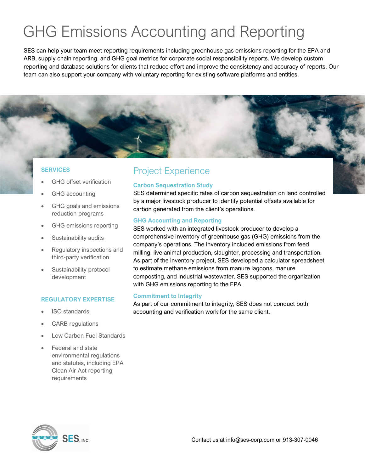## GHG Emissions Accounting and Reporting

SES can help your team meet reporting requirements including greenhouse gas emissions reporting for the EPA and ARB, supply chain reporting, and GHG goal metrics for corporate social responsibility reports. We develop custom reporting and database solutions for clients that reduce effort and improve the consistency and accuracy of reports. Our team can also support your company with voluntary reporting for existing software platforms and entities.

#### **SERVICES**

- GHG offset verification
- GHG accounting
- GHG goals and emissions reduction programs
- GHG emissions reporting
- Sustainability audits
- Regulatory inspections and third-party verification
- Sustainability protocol development

#### **REGULATORY EXPERTISE**

- ISO standards
- CARB regulations
- Low Carbon Fuel Standards
- Federal and state environmental regulations and statutes, including EPA Clean Air Act reporting requirements

### Project Experience

#### **Carbon Sequestration Study**

SES determined specific rates of carbon sequestration on land controlled by a major livestock producer to identify potential offsets available for carbon generated from the client's operations.

#### **GHG Accounting and Reporting**

SES worked with an integrated livestock producer to develop a comprehensive inventory of greenhouse gas (GHG) emissions from the company's operations. The inventory included emissions from feed milling, live animal production, slaughter, processing and transportation. As part of the inventory project, SES developed a calculator spreadsheet to estimate methane emissions from manure lagoons, manure composting, and industrial wastewater. SES supported the organization with GHG emissions reporting to the EPA.

#### **Commitment to Integrity**

As part of our commitment to integrity, SES does not conduct both accounting and verification work for the same client.

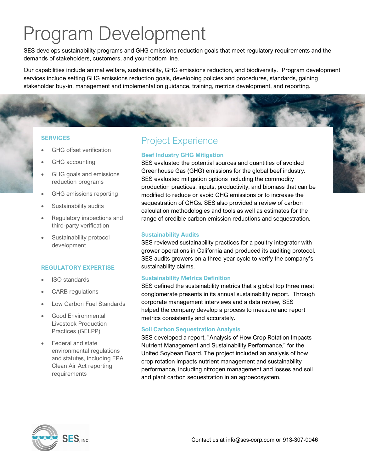## Program Development

SES develops sustainability programs and GHG emissions reduction goals that meet regulatory requirements and the demands of stakeholders, customers, and your bottom line.

Our capabilities include animal welfare, sustainability, GHG emissions reduction, and biodiversity. Program development services include setting GHG emissions reduction goals, developing policies and procedures, standards, gaining stakeholder buy-in, management and implementation guidance, training, metrics development, and reporting.

#### **SERVICES**

- GHG offset verification
- GHG accounting
- GHG goals and emissions reduction programs
- GHG emissions reporting
- Sustainability audits
- Regulatory inspections and third-party verification
- Sustainability protocol development

#### **REGULATORY EXPERTISE**

- ISO standards
- CARB regulations
- Low Carbon Fuel Standards
- Good Environmental Livestock Production Practices (GELPP)
- Federal and state environmental regulations and statutes, including EPA Clean Air Act reporting requirements

### Project Experience

#### **Beef Industry GHG Mitigation**

SES evaluated the potential sources and quantities of avoided Greenhouse Gas (GHG) emissions for the global beef industry. SES evaluated mitigation options including the commodity production practices, inputs, productivity, and biomass that can be modified to reduce or avoid GHG emissions or to increase the sequestration of GHGs. SES also provided a review of carbon calculation methodologies and tools as well as estimates for the range of credible carbon emission reductions and sequestration.

#### **Sustainability Audits**

SES reviewed sustainability practices for a poultry integrator with grower operations in California and produced its auditing protocol. SES audits growers on a three-year cycle to verify the company's sustainability claims.

#### **Sustainability Metrics Definition**

SES defined the sustainability metrics that a global top three meat conglomerate presents in its annual sustainability report. Through corporate management interviews and a data review, SES helped the company develop a process to measure and report metrics consistently and accurately.

#### **Soil Carbon Sequestration Analysis**

SES developed a report, "Analysis of How Crop Rotation Impacts Nutrient Management and Sustainability Performance," for the United Soybean Board. The project included an analysis of how crop rotation impacts nutrient management and sustainability performance, including nitrogen management and losses and soil and plant carbon sequestration in an agroecosystem.